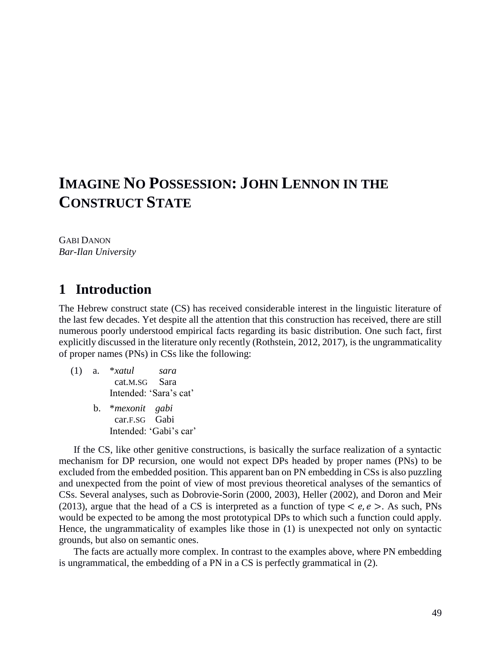# **IMAGINE NO POSSESSION: JOHN LENNON IN THE CONSTRUCT STATE**

GABI DANON *Bar-Ilan University*

## **1** Introduction

The Hebrew construct state (CS) has received considerable interest in the linguistic literature of the last few decades. Yet despite all the attention that this construction has received, there are still numerous poorly understood empirical facts regarding its basic distribution. One such fact, first explicitly discussed in the literature only recently (Rothstein, 2012, 2017), is the ungrammaticality of proper names (PNs) in CSs like the following:

(1) a. \**xatul sara* cat.M.SG Sara Intended: 'Sara's cat' b. \**mexonit gabi* car.F.SG Gabi Intended: 'Gabi's car'

If the CS, like other genitive constructions, is basically the surface realization of a syntactic mechanism for DP recursion, one would not expect DPs headed by proper names (PNs) to be excluded from the embedded position. This apparent ban on PN embedding in CSs is also puzzling and unexpected from the point of view of most previous theoretical analyses of the semantics of CSs. Several analyses, such as Dobrovie-Sorin (2000, 2003), Heller (2002), and Doron and Meir (2013), argue that the head of a CS is interpreted as a function of type  $\langle e, e \rangle$ . As such, PNs would be expected to be among the most prototypical DPs to which such a function could apply. Hence, the ungrammaticality of examples like those in (1) is unexpected not only on syntactic grounds, but also on semantic ones.

The facts are actually more complex. In contrast to the examples above, where PN embedding is ungrammatical, the embedding of a PN in a CS is perfectly grammatical in (2).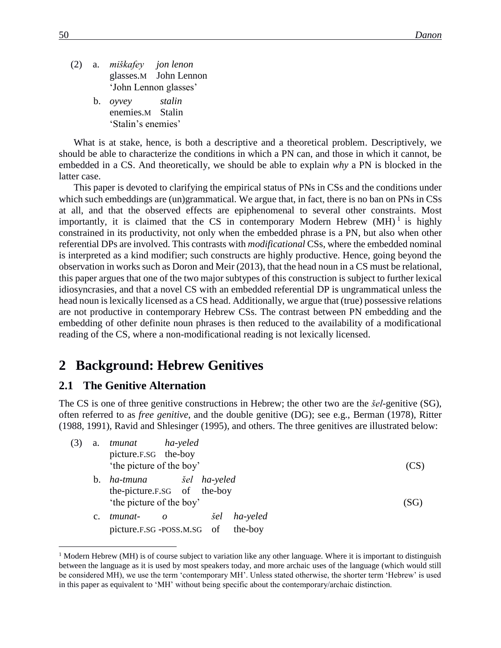- (2) a. *miškafey jon lenon* glasses.M John Lennon 'John Lennon glasses'
	- b. *oyvey stalin* enemies.M Stalin 'Stalin's enemies'

What is at stake, hence, is both a descriptive and a theoretical problem. Descriptively, we should be able to characterize the conditions in which a PN can, and those in which it cannot, be embedded in a CS. And theoretically, we should be able to explain *why* a PN is blocked in the latter case.

This paper is devoted to clarifying the empirical status of PNs in CSs and the conditions under which such embeddings are (un)grammatical. We argue that, in fact, there is no ban on PNs in CSs at all, and that the observed effects are epiphenomenal to several other constraints. Most importantly, it is claimed that the CS in contemporary Modern Hebrew  $(MH)^1$  is highly constrained in its productivity, not only when the embedded phrase is a PN, but also when other referential DPs are involved. This contrasts with *modificational* CSs, where the embedded nominal is interpreted as a kind modifier; such constructs are highly productive. Hence, going beyond the observation in works such as Doron and Meir (2013), that the head noun in a CS must be relational, this paper argues that one of the two major subtypes of this construction is subject to further lexical idiosyncrasies, and that a novel CS with an embedded referential DP is ungrammatical unless the head noun is lexically licensed as a CS head. Additionally, we argue that (true) possessive relations are not productive in contemporary Hebrew CSs. The contrast between PN embedding and the embedding of other definite noun phrases is then reduced to the availability of a modificational reading of the CS, where a non-modificational reading is not lexically licensed.

## **2xxBackground: Hebrew Genitives**

#### **2.1 The Genitive Alternation**

 $\overline{a}$ 

The CS is one of three genitive constructions in Hebrew; the other two are the *šel*-genitive (SG), often referred to as *free genitive*, and the double genitive (DG); see e.g., Berman (1978), Ritter (1988, 1991), Ravid and Shlesinger (1995), and others. The three genitives are illustrated below:

| (3) | a. | ha-yeled<br>tmunat                                   |     |          |      |
|-----|----|------------------------------------------------------|-----|----------|------|
|     |    | picture.F.SG the-boy<br>'the picture of the boy'     |     |          | (CS  |
|     | b. | the-picture.F.SG of the-boy                          |     |          |      |
|     | C. | 'the picture of the boy'<br>tmunat-                  | šel | ha-yeled | (SG) |
|     |    | $\overline{\mathbf{0}}$<br>picture.F.SG-POSS.M.SG of |     | the-boy  |      |

<sup>&</sup>lt;sup>1</sup> Modern Hebrew (MH) is of course subject to variation like any other language. Where it is important to distinguish between the language as it is used by most speakers today, and more archaic uses of the language (which would still be considered MH), we use the term 'contemporary MH'. Unless stated otherwise, the shorter term 'Hebrew' is used in this paper as equivalent to 'MH' without being specific about the contemporary/archaic distinction.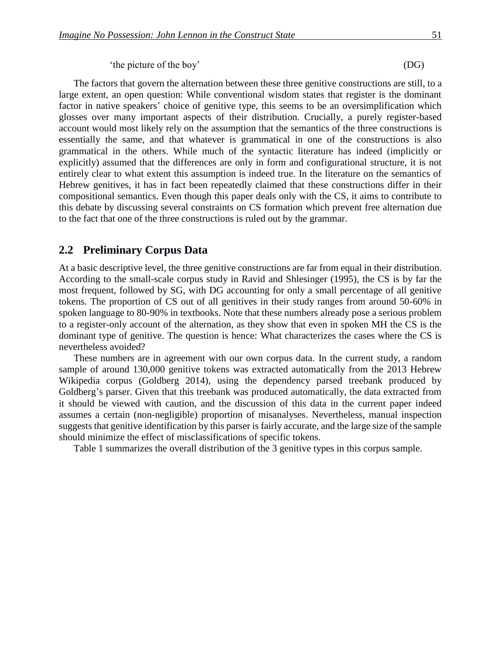'the picture of the boy' (DG)

The factors that govern the alternation between these three genitive constructions are still, to a large extent, an open question: While conventional wisdom states that register is the dominant factor in native speakers' choice of genitive type, this seems to be an oversimplification which glosses over many important aspects of their distribution. Crucially, a purely register-based account would most likely rely on the assumption that the semantics of the three constructions is essentially the same, and that whatever is grammatical in one of the constructions is also grammatical in the others. While much of the syntactic literature has indeed (implicitly or explicitly) assumed that the differences are only in form and configurational structure, it is not entirely clear to what extent this assumption is indeed true. In the literature on the semantics of Hebrew genitives, it has in fact been repeatedly claimed that these constructions differ in their compositional semantics. Even though this paper deals only with the CS, it aims to contribute to this debate by discussing several constraints on CS formation which prevent free alternation due to the fact that one of the three constructions is ruled out by the grammar.

#### **2.2xxPreliminary Corpus Data**

At a basic descriptive level, the three genitive constructions are far from equal in their distribution. According to the small-scale corpus study in Ravid and Shlesinger (1995), the CS is by far the most frequent, followed by SG, with DG accounting for only a small percentage of all genitive tokens. The proportion of CS out of all genitives in their study ranges from around 50-60% in spoken language to 80-90% in textbooks. Note that these numbers already pose a serious problem to a register-only account of the alternation, as they show that even in spoken MH the CS is the dominant type of genitive. The question is hence: What characterizes the cases where the CS is nevertheless avoided?

These numbers are in agreement with our own corpus data. In the current study, a random sample of around 130,000 genitive tokens was extracted automatically from the 2013 Hebrew Wikipedia corpus (Goldberg 2014), using the dependency parsed treebank produced by Goldberg's parser. Given that this treebank was produced automatically, the data extracted from it should be viewed with caution, and the discussion of this data in the current paper indeed assumes a certain (non-negligible) proportion of misanalyses. Nevertheless, manual inspection suggests that genitive identification by this parser is fairly accurate, and the large size of the sample should minimize the effect of misclassifications of specific tokens.

Table 1 summarizes the overall distribution of the 3 genitive types in this corpus sample.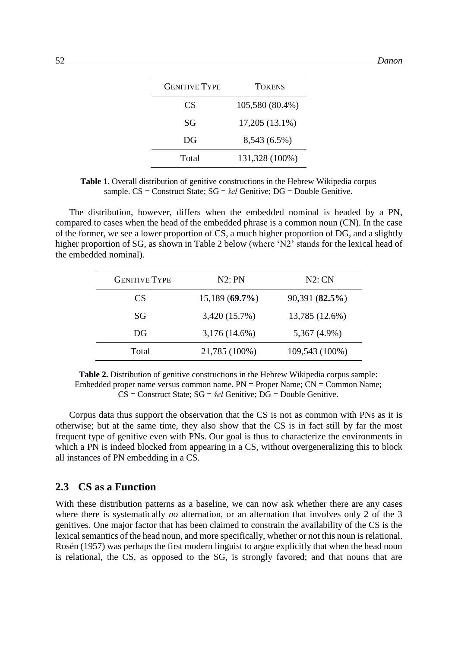| <b>GENITIVE TYPE</b> | <b>TOKENS</b>   |
|----------------------|-----------------|
| CS                   | 105,580 (80.4%) |
| SG                   | 17,205 (13.1%)  |
| DG                   | 8,543 (6.5%)    |
| Total                | 131,328 (100%)  |

**Table 1.** Overall distribution of genitive constructions in the Hebrew Wikipedia corpus sample. CS = Construct State; SG = *šel* Genitive; DG = Double Genitive.

The distribution, however, differs when the embedded nominal is headed by a PN, compared to cases when the head of the embedded phrase is a common noun (CN). In the case of the former, we see a lower proportion of CS, a much higher proportion of DG, and a slightly higher proportion of SG, as shown in Table 2 below (where 'N2' stands for the lexical head of the embedded nominal).

| <b>GENITIVE TYPE</b> | N2:PN            | N2:CN          |
|----------------------|------------------|----------------|
| CS.                  | $15,189(69.7\%)$ | 90,391(82.5%)  |
| SG                   | 3,420 (15.7%)    | 13,785 (12.6%) |
| DG                   | $3,176(14.6\%)$  | 5,367 (4.9%)   |
| Total                | 21,785 (100%)    | 109,543 (100%) |

**Table 2.** Distribution of genitive constructions in the Hebrew Wikipedia corpus sample: Embedded proper name versus common name. PN = Proper Name; CN = Common Name; CS = Construct State; SG = *šel* Genitive; DG = Double Genitive.

Corpus data thus support the observation that the CS is not as common with PNs as it is otherwise; but at the same time, they also show that the CS is in fact still by far the most frequent type of genitive even with PNs. Our goal is thus to characterize the environments in which a PN is indeed blocked from appearing in a CS, without overgeneralizing this to block all instances of PN embedding in a CS.

#### **2.3xxCS as a Function**

With these distribution patterns as a baseline, we can now ask whether there are any cases where there is systematically *no* alternation, or an alternation that involves only 2 of the 3 genitives. One major factor that has been claimed to constrain the availability of the CS is the lexical semantics of the head noun, and more specifically, whether or not this noun is relational. Rosén (1957) was perhaps the first modern linguist to argue explicitly that when the head noun is relational, the CS, as opposed to the SG, is strongly favored; and that nouns that are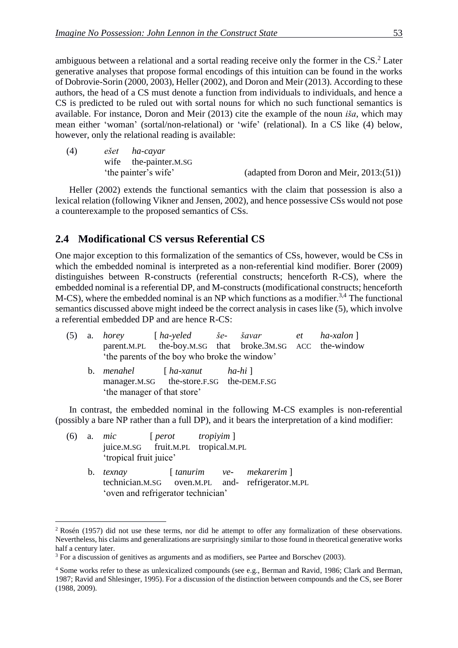ambiguous between a relational and a sortal reading receive only the former in the CS.<sup>2</sup> Later generative analyses that propose formal encodings of this intuition can be found in the works of Dobrovie-Sorin (2000, 2003), Heller (2002), and Doron and Meir (2013). According to these authors, the head of a CS must denote a function from individuals to individuals, and hence a CS is predicted to be ruled out with sortal nouns for which no such functional semantics is available. For instance, Doron and Meir (2013) cite the example of the noun *iša*, which may mean either 'woman' (sortal/non-relational) or 'wife' (relational). In a CS like (4) below, however, only the relational reading is available:

| (4) |                      | ešet ha-cayar         |                                             |
|-----|----------------------|-----------------------|---------------------------------------------|
|     |                      | wife the-painter.M.SG |                                             |
|     | 'the painter's wife' |                       | (adapted from Doron and Meir, $2013:(51)$ ) |

Heller (2002) extends the functional semantics with the claim that possession is also a lexical relation (following Vikner and Jensen, 2002), and hence possessive CSs would not pose a counterexample to the proposed semantics of CSs.

#### **2.4xxModificational CS versus Referential CS**

One major exception to this formalization of the semantics of CSs, however, would be CSs in which the embedded nominal is interpreted as a non-referential kind modifier. Borer (2009) distinguishes between R-constructs (referential constructs; henceforth R-CS), where the embedded nominal is a referential DP, and M-constructs (modificational constructs; henceforth  $M-CS$ ), where the embedded nominal is an NP which functions as a modifier.<sup>3,4</sup> The functional semantics discussed above might indeed be the correct analysis in cases like (5), which involve a referential embedded DP and are hence R-CS:

|  |                             | (5) a. horey $[ha$ -yeled $\check{s}e$ - $\check{s}avar$ et $ha$ -xalon            |  |  |  |  |  |
|--|-----------------------------|------------------------------------------------------------------------------------|--|--|--|--|--|
|  |                             | parent.M.PL the-boy.M.SG that broke.3M.SG ACC the-window                           |  |  |  |  |  |
|  |                             | 'the parents of the boy who broke the window'                                      |  |  |  |  |  |
|  | 'the manager of that store' | b. <i>menahel</i> $[ha-xanut$ $ha-hi]$<br>manager.M.SG the-store.F.SG the-DEM.F.SG |  |  |  |  |  |

In contrast, the embedded nominal in the following M-CS examples is non-referential (possibly a bare NP rather than a full DP), and it bears the interpretation of a kind modifier:

|  | (6) a. mic [ $perot$ tropiyim ]<br>juice.M.SG fruit.M.PL tropical.M.PL<br>'tropical fruit juice' |  |                                                                             |
|--|--------------------------------------------------------------------------------------------------|--|-----------------------------------------------------------------------------|
|  | b. <i>texnay</i><br>'oven and refrigerator technician'                                           |  | [tanurim ve- mekarerim]<br>technician.M.SG oven.M.PL and- refrigerator.M.PL |

<u>.</u>

<sup>2</sup> Rosén (1957) did not use these terms, nor did he attempt to offer any formalization of these observations. Nevertheless, his claims and generalizations are surprisingly similar to those found in theoretical generative works half a century later.

<sup>&</sup>lt;sup>3</sup> For a discussion of genitives as arguments and as modifiers, see Partee and Borschev (2003).

<sup>4</sup> Some works refer to these as unlexicalized compounds (see e.g., Berman and Ravid, 1986; Clark and Berman, 1987; Ravid and Shlesinger, 1995). For a discussion of the distinction between compounds and the CS, see Borer (1988, 2009).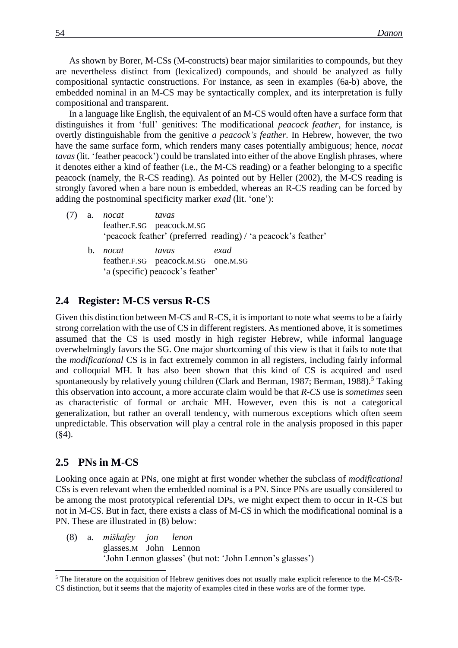As shown by Borer, M-CSs (M-constructs) bear major similarities to compounds, but they are nevertheless distinct from (lexicalized) compounds, and should be analyzed as fully compositional syntactic constructions. For instance, as seen in examples (6a-b) above, the embedded nominal in an M-CS may be syntactically complex, and its interpretation is fully compositional and transparent.

In a language like English, the equivalent of an M-CS would often have a surface form that distinguishes it from 'full' genitives: The modificational *peacock feather*, for instance, is overtly distinguishable from the genitive *a peacock's feather*. In Hebrew, however, the two have the same surface form, which renders many cases potentially ambiguous; hence, *nocat tavas* (lit. 'feather peacock') could be translated into either of the above English phrases, where it denotes either a kind of feather (i.e., the M-CS reading) or a feather belonging to a specific peacock (namely, the R-CS reading). As pointed out by Heller (2002), the M-CS reading is strongly favored when a bare noun is embedded, whereas an R-CS reading can be forced by adding the postnominal specificity marker *exad* (lit. 'one'):

|  | $(7)$ a. <i>nocat</i> | tavas<br>feather.F.SG peacock.M.SG |      |                                                               |
|--|-----------------------|------------------------------------|------|---------------------------------------------------------------|
|  |                       |                                    |      | 'peacock feather' (preferred reading) / 'a peacock's feather' |
|  | b. <i>nocat</i>       | tavas                              | exad |                                                               |

feather.F.SG peacock.M.SG one.M.SG 'a (specific) peacock's feather'

### **2.4xxRegister: M-CS versus R-CS**

Given this distinction between M-CS and R-CS, it is important to note what seems to be a fairly strong correlation with the use of CS in different registers. As mentioned above, it is sometimes assumed that the CS is used mostly in high register Hebrew, while informal language overwhelmingly favors the SG. One major shortcoming of this view is that it fails to note that the *modificational* CS is in fact extremely common in all registers, including fairly informal and colloquial MH. It has also been shown that this kind of CS is acquired and used spontaneously by relatively young children (Clark and Berman, 1987; Berman, 1988).<sup>5</sup> Taking this observation into account, a more accurate claim would be that *R-CS* use is *sometimes* seen as characteristic of formal or archaic MH. However, even this is not a categorical generalization, but rather an overall tendency, with numerous exceptions which often seem unpredictable. This observation will play a central role in the analysis proposed in this paper (§4).

#### **2.5xxPNs in M-CS**

1

Looking once again at PNs, one might at first wonder whether the subclass of *modificational* CSs is even relevant when the embedded nominal is a PN. Since PNs are usually considered to be among the most prototypical referential DPs, we might expect them to occur in R-CS but not in M-CS. But in fact, there exists a class of M-CS in which the modificational nominal is a PN. These are illustrated in (8) below:

(8) a. *miškafey jon lenon* glasses.M John Lennon 'John Lennon glasses' (but not: 'John Lennon's glasses')

<sup>&</sup>lt;sup>5</sup> The literature on the acquisition of Hebrew genitives does not usually make explicit reference to the M-CS/R-CS distinction, but it seems that the majority of examples cited in these works are of the former type.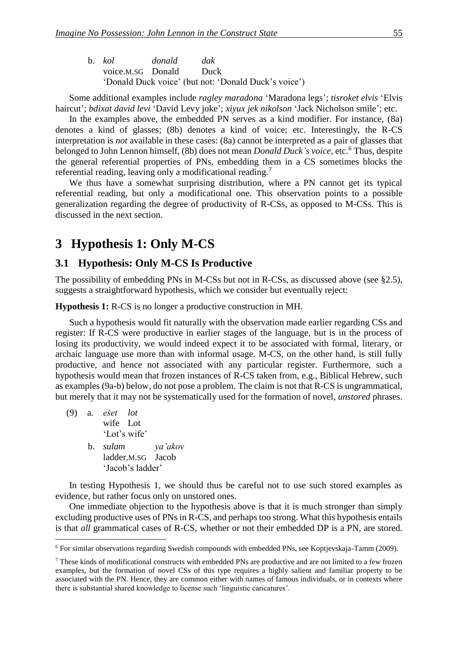| b. kol                 | donald dak |                                                      |  |
|------------------------|------------|------------------------------------------------------|--|
| voice.M.SG Donald Duck |            |                                                      |  |
|                        |            | 'Donald Duck voice' (but not: 'Donald Duck's voice') |  |

Some additional examples include *ragley maradona* 'Maradona legs'; *tisroket elvis* 'Elvis haircut'; *bdixat david levi* 'David Levy joke'; *xiyux jek nikolson* 'Jack Nicholson smile'; etc.

In the examples above, the embedded PN serves as a kind modifier. For instance, (8a) denotes a kind of glasses; (8b) denotes a kind of voice; etc. Interestingly, the R-CS interpretation is *not* available in these cases: (8a) cannot be interpreted as a pair of glasses that belonged to John Lennon himself, (8b) does not mean *Donald Duck's voice*, etc.<sup>6</sup> Thus, despite the general referential properties of PNs, embedding them in a CS sometimes blocks the referential reading, leaving only a modificational reading.<sup>7</sup>

We thus have a somewhat surprising distribution, where a PN cannot get its typical referential reading, but only a modificational one. This observation points to a possible generalization regarding the degree of productivity of R-CSs, as opposed to M-CSs. This is discussed in the next section.

## **3xxHypothesis 1: Only M-CS**

#### **3.1xxHypothesis: Only M-CS Is Productive**

The possibility of embedding PNs in M-CSs but not in R-CSs, as discussed above (see §2.5), suggests a straightforward hypothesis, which we consider but eventually reject:

**Hypothesis 1:** R-CS is no longer a productive construction in MH.

Such a hypothesis would fit naturally with the observation made earlier regarding CSs and register: If R-CS were productive in earlier stages of the language, but is in the process of losing its productivity, we would indeed expect it to be associated with formal, literary, or archaic language use more than with informal usage. M-CS, on the other hand, is still fully productive, and hence not associated with any particular register. Furthermore, such a hypothesis would mean that frozen instances of R-CS taken from, e.g., Biblical Hebrew, such as examples (9a-b) below, do not pose a problem. The claim is not that R-CS is ungrammatical, but merely that it may not be systematically used for the formation of novel, *unstored* phrases.

(9) a. *ešet lot* wife Lot 'Lot's wife' b. *sulam ya'akov* ladder.M.SG Jacob 'Jacob's ladder'

1

In testing Hypothesis 1, we should thus be careful not to use such stored examples as evidence, but rather focus only on unstored ones.

One immediate objection to the hypothesis above is that it is much stronger than simply excluding productive uses of PNs in R-CS, and perhaps too strong. What this hypothesis entails is that *all* grammatical cases of R-CS, whether or not their embedded DP is a PN, are stored.

<sup>6</sup> For similar observations regarding Swedish compounds with embedded PNs, see Koptjevskaja-Tamm (2009).

 $<sup>7</sup>$  These kinds of modificational constructs with embedded PNs are productive and are not limited to a few frozen</sup> examples, but the formation of novel CSs of this type requires a highly salient and familiar property to be associated with the PN. Hence, they are common either with names of famous individuals, or in contexts where there is substantial shared knowledge to license such 'linguistic caricatures'.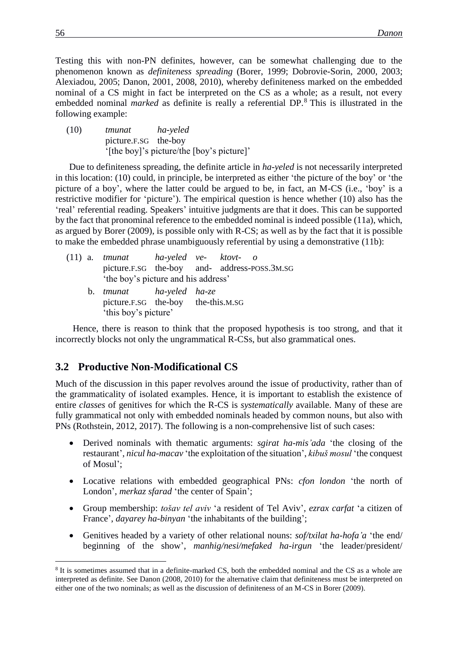Testing this with non-PN definites, however, can be somewhat challenging due to the phenomenon known as *definiteness spreading* (Borer, 1999; Dobrovie-Sorin, 2000, 2003; Alexiadou, 2005; Danon, 2001, 2008, 2010), whereby definiteness marked on the embedded nominal of a CS might in fact be interpreted on the CS as a whole; as a result, not every embedded nominal *marked* as definite is really a referential DP.<sup>8</sup> This is illustrated in the following example:

(10) *tmunat ha-yeled* picture.F.SG the-boy '[the boy]'s picture/the [boy's picture]'

Due to definiteness spreading, the definite article in *ha-yeled* is not necessarily interpreted in this location: (10) could, in principle, be interpreted as either 'the picture of the boy' or 'the picture of a boy', where the latter could be argued to be, in fact, an M-CS (i.e., 'boy' is a restrictive modifier for 'picture'). The empirical question is hence whether (10) also has the 'real' referential reading. Speakers' intuitive judgments are that it does. This can be supported by the fact that pronominal reference to the embedded nominal is indeed possible (11a), which, as argued by Borer (2009), is possible only with R-CS; as well as by the fact that it is possible to make the embedded phrase unambiguously referential by using a demonstrative (11b):

|  | $(11)$ a. tmunat ha-yeled ve- ktovt- o       |  |  |
|--|----------------------------------------------|--|--|
|  | picture.F.SG the-boy and- address-POSS.3M.SG |  |  |
|  | 'the boy's picture and his address'          |  |  |
|  | b. tmunat ha-yeled ha-ze                     |  |  |
|  | picture.F.SG the-boy the-this.M.SG           |  |  |
|  | 'this boy's picture'                         |  |  |

Hence, there is reason to think that the proposed hypothesis is too strong, and that it incorrectly blocks not only the ungrammatical R-CSs, but also grammatical ones.

#### **3.2xxProductive Non-Modificational CS**

Much of the discussion in this paper revolves around the issue of productivity, rather than of the grammaticality of isolated examples. Hence, it is important to establish the existence of entire *classes* of genitives for which the R-CS is *systematically* available. Many of these are fully grammatical not only with embedded nominals headed by common nouns, but also with PNs (Rothstein, 2012, 2017). The following is a non-comprehensive list of such cases:

- Derived nominals with thematic arguments: *sgirat ha-mis'ada* 'the closing of the restaurant', *nicul ha-macav* 'the exploitation of the situation', *kibuš mosul* 'the conquest of Mosul';
- Locative relations with embedded geographical PNs: *cfon london* 'the north of London', *merkaz sfarad* 'the center of Spain';
- Group membership: *tošav tel aviv* 'a resident of Tel Aviv', *ezrax carfat* 'a citizen of France', *dayarey ha-binyan* 'the inhabitants of the building';
- Genitives headed by a variety of other relational nouns: *sof/txilat ha-hofa'a* 'the end/ beginning of the show', *manhig/nesi/mefaked ha-irgun* 'the leader/president/

<u>.</u>

<sup>&</sup>lt;sup>8</sup> It is sometimes assumed that in a definite-marked CS, both the embedded nominal and the CS as a whole are interpreted as definite. See Danon (2008, 2010) for the alternative claim that definiteness must be interpreted on either one of the two nominals; as well as the discussion of definiteness of an M-CS in Borer (2009).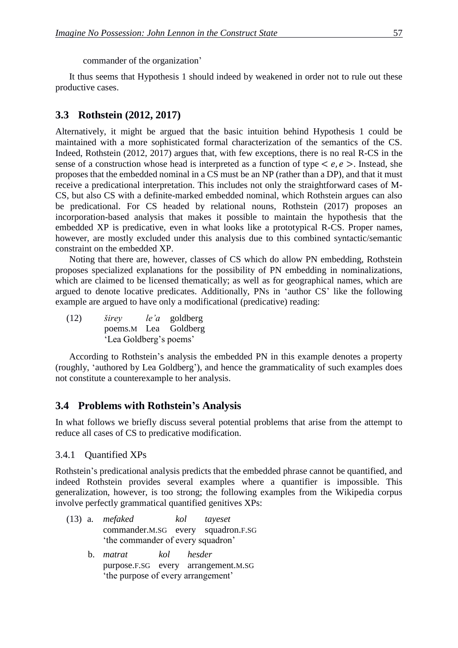It thus seems that Hypothesis 1 should indeed by weakened in order not to rule out these productive cases.

### **3.3xxRothstein (2012, 2017)**

Alternatively, it might be argued that the basic intuition behind Hypothesis 1 could be maintained with a more sophisticated formal characterization of the semantics of the CS. Indeed, Rothstein (2012, 2017) argues that, with few exceptions, there is no real R-CS in the sense of a construction whose head is interpreted as a function of type  $\langle e, e \rangle$ . Instead, she proposes that the embedded nominal in a CS must be an NP (rather than a DP), and that it must receive a predicational interpretation. This includes not only the straightforward cases of M-CS, but also CS with a definite-marked embedded nominal, which Rothstein argues can also be predicational. For CS headed by relational nouns, Rothstein (2017) proposes an incorporation-based analysis that makes it possible to maintain the hypothesis that the embedded XP is predicative, even in what looks like a prototypical R-CS. Proper names, however, are mostly excluded under this analysis due to this combined syntactic/semantic constraint on the embedded XP.

Noting that there are, however, classes of CS which do allow PN embedding, Rothstein proposes specialized explanations for the possibility of PN embedding in nominalizations, which are claimed to be licensed thematically; as well as for geographical names, which are argued to denote locative predicates. Additionally, PNs in 'author CS' like the following example are argued to have only a modificational (predicative) reading:

(12) *širey le'a* goldberg poems.M Lea Goldberg 'Lea Goldberg's poems'

According to Rothstein's analysis the embedded PN in this example denotes a property (roughly, 'authored by Lea Goldberg'), and hence the grammaticality of such examples does not constitute a counterexample to her analysis.

#### **3.4xxProblems with Rothstein's Analysis**

In what follows we briefly discuss several potential problems that arise from the attempt to reduce all cases of CS to predicative modification.

#### 3.4.1 Ouantified XPs

Rothstein's predicational analysis predicts that the embedded phrase cannot be quantified, and indeed Rothstein provides several examples where a quantifier is impossible. This generalization, however, is too strong; the following examples from the Wikipedia corpus involve perfectly grammatical quantified genitives XPs:

- (13) a. *mefaked kol tayeset* commander.M.SG every squadron.F.SG 'the commander of every squadron'
	- b. *matrat kol hesder* purpose.F.SG every arrangement.M.SG 'the purpose of every arrangement'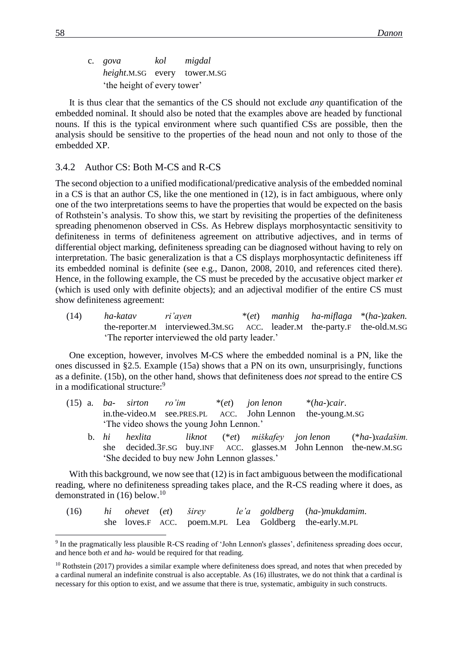c. *gova kol migdal height*.M.SG every tower.M.SG 'the height of every tower'

It is thus clear that the semantics of the CS should not exclude *any* quantification of the embedded nominal. It should also be noted that the examples above are headed by functional nouns. If this is the typical environment where such quantified CSs are possible, then the analysis should be sensitive to the properties of the head noun and not only to those of the embedded XP.

#### 3.4.2 Author CS: Both M-CS and R-CS

The second objection to a unified modificational/predicative analysis of the embedded nominal in a CS is that an author CS, like the one mentioned in (12), is in fact ambiguous, where only one of the two interpretations seems to have the properties that would be expected on the basis of Rothstein's analysis. To show this, we start by revisiting the properties of the definiteness spreading phenomenon observed in CSs. As Hebrew displays morphosyntactic sensitivity to definiteness in terms of definiteness agreement on attributive adjectives, and in terms of differential object marking, definiteness spreading can be diagnosed without having to rely on interpretation. The basic generalization is that a CS displays morphosyntactic definiteness iff its embedded nominal is definite (see e.g., Danon, 2008, 2010, and references cited there). Hence, in the following example, the CS must be preceded by the accusative object marker *et* (which is used only with definite objects); and an adjectival modifier of the entire CS must show definiteness agreement:

(14) *ha-katav ri'ayen* \*(*et*) *manhig ha-miflaga* \*(*ha*-)*zaken.* the-reporter.M interviewed.3M.SG ACC. leader.M the-party.F the-old.M.SG 'The reporter interviewed the old party leader.'

One exception, however, involves M-CS where the embedded nominal is a PN, like the ones discussed in §2.5. Example (15a) shows that a PN on its own, unsurprisingly, functions as a definite. (15b), on the other hand, shows that definiteness does *not* spread to the entire CS in a modificational structure:<sup>9</sup>

- (15) a. *ba- sirton ro'im* \*(*et*) *jon lenon* \*(*ha*-)*cair*. in.the-video.M see.PRES.PL ACC. John Lennon the-young.M.SG 'The video shows the young John Lennon.'
	- b. *hi hexlita liknot* (\**et*) *miškafey jon lenon* (\**ha*-)*xadašim.* she decided.3F.SG buy.INF ACC. glasses.M John Lennon the-new.M.SG 'She decided to buy new John Lennon glasses.'

With this background, we now see that  $(12)$  is in fact ambiguous between the modificational reading, where no definiteness spreading takes place, and the R-CS reading where it does, as demonstrated in  $(16)$  below.<sup>10</sup>

| (16) | hi ohevet (et) širey |  |  | le'a goldberg (ha-)mukdamim.                           |
|------|----------------------|--|--|--------------------------------------------------------|
|      |                      |  |  | she loves.F ACC. poem.M.PL Lea Goldberg the-early.M.PL |

<sup>&</sup>lt;sup>9</sup> In the pragmatically less plausible R-CS reading of 'John Lennon's glasses', definiteness spreading does occur, and hence both *et* and *ha-* would be required for that reading.

1

 $10$  Rothstein (2017) provides a similar example where definiteness does spread, and notes that when preceded by a cardinal numeral an indefinite construal is also acceptable. As (16) illustrates, we do not think that a cardinal is necessary for this option to exist, and we assume that there is true, systematic, ambiguity in such constructs.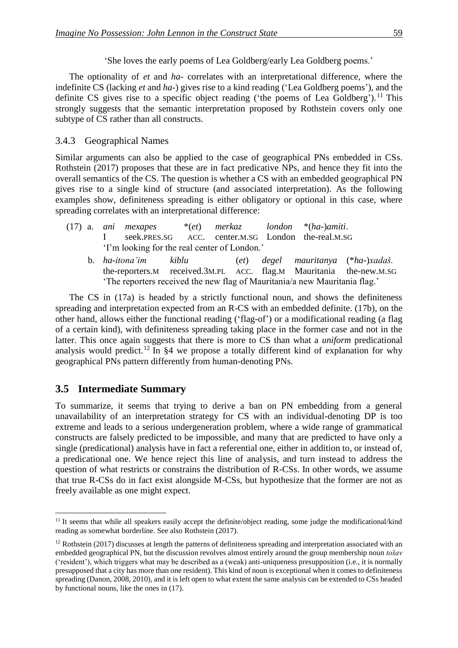'She loves the early poems of Lea Goldberg/early Lea Goldberg poems.'

The optionality of *et* and *ha-* correlates with an interpretational difference, where the indefinite CS (lacking *et* and *ha-*) gives rise to a kind reading ('Lea Goldberg poems'), and the definite CS gives rise to a specific object reading ('the poems of Lea Goldberg').<sup>11</sup> This strongly suggests that the semantic interpretation proposed by Rothstein covers only one subtype of CS rather than all constructs.

#### 3.4.3 Geographical Names

Similar arguments can also be applied to the case of geographical PNs embedded in CSs. Rothstein (2017) proposes that these are in fact predicative NPs, and hence they fit into the overall semantics of the CS. The question is whether a CS with an embedded geographical PN gives rise to a single kind of structure (and associated interpretation). As the following examples show, definiteness spreading is either obligatory or optional in this case, where spreading correlates with an interpretational difference:

- (17) a. *ani mexapes* \*(*et*) *merkaz london* \*(*ha*-)*amiti*. I seek.PRES.SG ACC. center.M.SG London the-real.M.SG 'I'm looking for the real center of London.'
	- b. *ha-itona'im kiblu* (*et*) *degel mauritanya* (\**ha*-)*xadaš.* the-reporters.M received.3M.PL ACC. flag.M Mauritania the-new.M.SG 'The reporters received the new flag of Mauritania/a new Mauritania flag.'

The CS in (17a) is headed by a strictly functional noun, and shows the definiteness spreading and interpretation expected from an R-CS with an embedded definite. (17b), on the other hand, allows either the functional reading ('flag-of') or a modificational reading (a flag of a certain kind), with definiteness spreading taking place in the former case and not in the latter. This once again suggests that there is more to CS than what a *uniform* predicational analysis would predict.<sup>12</sup> In  $\S 4$  we propose a totally different kind of explanation for why geographical PNs pattern differently from human-denoting PNs.

#### **3.5xxIntermediate Summary**

1

To summarize, it seems that trying to derive a ban on PN embedding from a general unavailability of an interpretation strategy for CS with an individual-denoting DP is too extreme and leads to a serious undergeneration problem, where a wide range of grammatical constructs are falsely predicted to be impossible, and many that are predicted to have only a single (predicational) analysis have in fact a referential one, either in addition to, or instead of, a predicational one. We hence reject this line of analysis, and turn instead to address the question of what restricts or constrains the distribution of R-CSs. In other words, we assume that true R-CSs do in fact exist alongside M-CSs, but hypothesize that the former are not as freely available as one might expect.

<sup>&</sup>lt;sup>11</sup> It seems that while all speakers easily accept the definite/object reading, some judge the modificational/kind reading as somewhat borderline. See also Rothstein (2017).

<sup>&</sup>lt;sup>12</sup> Rothstein (2017) discusses at length the patterns of definiteness spreading and interpretation associated with an embedded geographical PN, but the discussion revolves almost entirely around the group membership noun *tošav* ('resident'), which triggers what may be described as a (weak) anti-uniqueness presupposition (i.e., it is normally presupposed that a city has more than one resident). This kind of noun is exceptional when it comes to definiteness spreading (Danon, 2008, 2010), and it is left open to what extent the same analysis can be extended to CSs headed by functional nouns, like the ones in (17).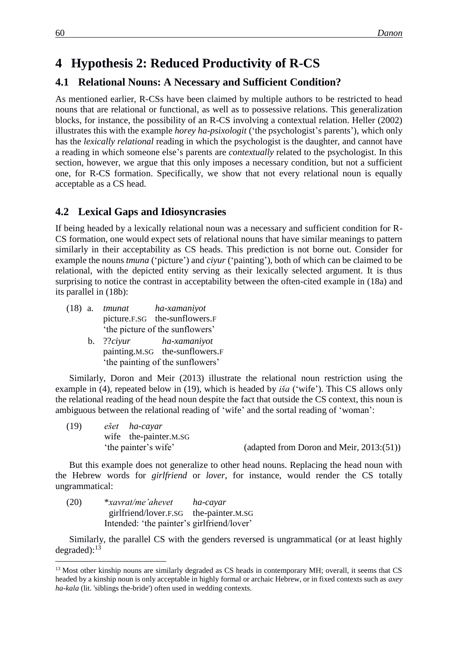## **4xxHypothesis 2: Reduced Productivity of R-CS**

### **4.1 Relational Nouns: A Necessary and Sufficient Condition?**

As mentioned earlier, R-CSs have been claimed by multiple authors to be restricted to head nouns that are relational or functional, as well as to possessive relations. This generalization blocks, for instance, the possibility of an R-CS involving a contextual relation. Heller (2002) illustrates this with the example *horey ha-psixologit* ('the psychologist's parents'), which only has the *lexically relational* reading in which the psychologist is the daughter, and cannot have a reading in which someone else's parents are *contextually* related to the psychologist. In this section, however, we argue that this only imposes a necessary condition, but not a sufficient one, for R-CS formation. Specifically, we show that not every relational noun is equally acceptable as a CS head.

### **4.2xxLexical Gaps and Idiosyncrasies**

If being headed by a lexically relational noun was a necessary and sufficient condition for R-CS formation, one would expect sets of relational nouns that have similar meanings to pattern similarly in their acceptability as CS heads. This prediction is not borne out. Consider for example the nouns *tmuna* ('picture') and *ciyur* ('painting'), both of which can be claimed to be relational, with the depicted entity serving as their lexically selected argument. It is thus surprising to notice the contrast in acceptability between the often-cited example in (18a) and its parallel in (18b):

- (18) a. *tmunat ha-xamaniyot* picture.F.SG the-sunflowers.F 'the picture of the sunflowers'
	- b. ??*ciyur ha-xamaniyot* painting.M.SG the-sunflowers.F 'the painting of the sunflowers'

Similarly, Doron and Meir (2013) illustrate the relational noun restriction using the example in (4), repeated below in (19), which is headed by *iša* ('wife'). This CS allows only the relational reading of the head noun despite the fact that outside the CS context, this noun is ambiguous between the relational reading of 'wife' and the sortal reading of 'woman':

| (19) | ešet ha-cayar         |                                             |
|------|-----------------------|---------------------------------------------|
|      | wife the-painter.M.SG |                                             |
|      | 'the painter's wife'  | (adapted from Doron and Meir, $2013:(51)$ ) |

But this example does not generalize to other head nouns. Replacing the head noun with the Hebrew words for *girlfriend* or *lover*, for instance, would render the CS totally ungrammatical:

| (20) | <i>*xavrat/me'ahevet</i>                   | ha-cayar |
|------|--------------------------------------------|----------|
|      | girlfriend/lover.F.SG the-painter.M.SG     |          |
|      | Intended: 'the painter's girlfriend/lover' |          |

Similarly, the parallel CS with the genders reversed is ungrammatical (or at least highly degraded): $^{13}$ 

<u>.</u>

<sup>&</sup>lt;sup>13</sup> Most other kinship nouns are similarly degraded as CS heads in contemporary MH; overall, it seems that CS headed by a kinship noun is only acceptable in highly formal or archaic Hebrew, or in fixed contexts such as *axey ha-kala* (lit. 'siblings the-bride') often used in wedding contexts.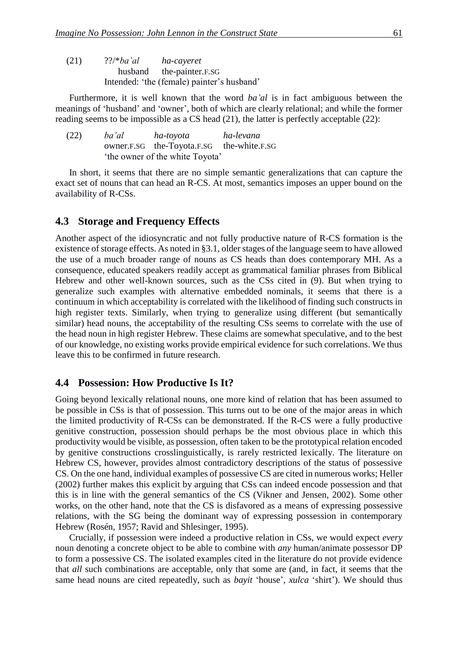| (21) | $?$ ?/*ba'al | ha-cayeret                                 |
|------|--------------|--------------------------------------------|
|      |              | husband the-painter.F.SG                   |
|      |              | Intended: 'the (female) painter's husband' |

Furthermore, it is well known that the word *ba'al* is in fact ambiguous between the meanings of 'husband' and 'owner', both of which are clearly relational; and while the former reading seems to be impossible as a CS head (21), the latter is perfectly acceptable (22):

| (22) | ba'al | ha-toyota                                 | ha-levana |
|------|-------|-------------------------------------------|-----------|
|      |       | owner.F.SG the-Toyota.F.SG the-white.F.SG |           |
|      |       | 'the owner of the white Toyota'           |           |

In short, it seems that there are no simple semantic generalizations that can capture the exact set of nouns that can head an R-CS. At most, semantics imposes an upper bound on the availability of R-CSs.

#### **4.3xxStorage and Frequency Effects**

Another aspect of the idiosyncratic and not fully productive nature of R-CS formation is the existence of storage effects. As noted in §3.1, older stages of the language seem to have allowed the use of a much broader range of nouns as CS heads than does contemporary MH. As a consequence, educated speakers readily accept as grammatical familiar phrases from Biblical Hebrew and other well-known sources, such as the CSs cited in (9). But when trying to generalize such examples with alternative embedded nominals, it seems that there is a continuum in which acceptability is correlated with the likelihood of finding such constructs in high register texts. Similarly, when trying to generalize using different (but semantically similar) head nouns, the acceptability of the resulting CSs seems to correlate with the use of the head noun in high register Hebrew. These claims are somewhat speculative, and to the best of our knowledge, no existing works provide empirical evidence for such correlations. We thus leave this to be confirmed in future research.

#### **4.4xxPossession: How Productive Is It?**

Going beyond lexically relational nouns, one more kind of relation that has been assumed to be possible in CSs is that of possession. This turns out to be one of the major areas in which the limited productivity of R-CSs can be demonstrated. If the R-CS were a fully productive genitive construction, possession should perhaps be the most obvious place in which this productivity would be visible, as possession, often taken to be the prototypical relation encoded by genitive constructions crosslinguistically, is rarely restricted lexically. The literature on Hebrew CS, however, provides almost contradictory descriptions of the status of possessive CS. On the one hand, individual examples of possessive CS are cited in numerous works; Heller (2002) further makes this explicit by arguing that CSs can indeed encode possession and that this is in line with the general semantics of the CS (Vikner and Jensen, 2002). Some other works, on the other hand, note that the CS is disfavored as a means of expressing possessive relations, with the SG being the dominant way of expressing possession in contemporary Hebrew (Rosén, 1957; Ravid and Shlesinger, 1995).

Crucially, if possession were indeed a productive relation in CSs, we would expect *every* noun denoting a concrete object to be able to combine with *any* human/animate possessor DP to form a possessive CS. The isolated examples cited in the literature do not provide evidence that *all* such combinations are acceptable, only that some are (and, in fact, it seems that the same head nouns are cited repeatedly, such as *bayit* 'house', *xulca* 'shirt'). We should thus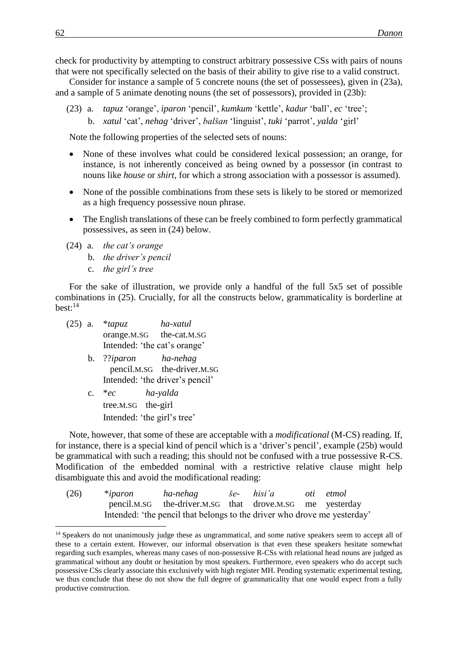check for productivity by attempting to construct arbitrary possessive CSs with pairs of nouns that were not specifically selected on the basis of their ability to give rise to a valid construct.

Consider for instance a sample of 5 concrete nouns (the set of possessees), given in (23a), and a sample of 5 animate denoting nouns (the set of possessors), provided in (23b):

(23) a. *tapuz* 'orange', *iparon* 'pencil', *kumkum* 'kettle', *kadur* 'ball', *ec* 'tree'; b. *xatul* 'cat', *nehag* 'driver', *balšan* 'linguist', *tuki* 'parrot', *yalda* 'girl'

Note the following properties of the selected sets of nouns:

- None of these involves what could be considered lexical possession; an orange, for instance, is not inherently conceived as being owned by a possessor (in contrast to nouns like *house* or *shirt*, for which a strong association with a possessor is assumed).
- None of the possible combinations from these sets is likely to be stored or memorized as a high frequency possessive noun phrase.
- The English translations of these can be freely combined to form perfectly grammatical possessives, as seen in (24) below.
- (24) a. *the cat's orange*
	- b. *the driver's pencil*
	- c. *the girl's tree*

For the sake of illustration, we provide only a handful of the full 5x5 set of possible combinations in (25). Crucially, for all the constructs below, grammaticality is borderline at  $best:$ <sup>14</sup>

- (25) a. \**tapuz ha-xatul* orange.M.SG the-cat.M.SG Intended: 'the cat's orange'
	- b. ??*iparon ha-nehag* pencil.M.SG the-driver.M.SG Intended: 'the driver's pencil'
	- c. \**ec ha-yalda* tree.M.SG the-girl Intended: 'the girl's tree'

Note, however, that some of these are acceptable with a *modificational* (M-CS) reading. If, for instance, there is a special kind of pencil which is a 'driver's pencil', example (25b) would be grammatical with such a reading; this should not be confused with a true possessive R-CS. Modification of the embedded nominal with a restrictive relative clause might help disambiguate this and avoid the modificational reading:

| (26) | $*iparon$ | ha-nehag                                                                 | še- hisi'a | oti etmol |
|------|-----------|--------------------------------------------------------------------------|------------|-----------|
|      |           | pencil.M.SG the-driver.M.SG that drove.M.SG me yesterday                 |            |           |
|      |           | Intended: 'the pencil that belongs to the driver who drove me yesterday' |            |           |

<sup>&</sup>lt;sup>14</sup> Speakers do not unanimously judge these as ungrammatical, and some native speakers seem to accept all of these to a certain extent. However, our informal observation is that even these speakers hesitate somewhat regarding such examples, whereas many cases of non-possessive R-CSs with relational head nouns are judged as grammatical without any doubt or hesitation by most speakers. Furthermore, even speakers who do accept such possessive CSs clearly associate this exclusively with high register MH. Pending systematic experimental testing, we thus conclude that these do not show the full degree of grammaticality that one would expect from a fully productive construction.

1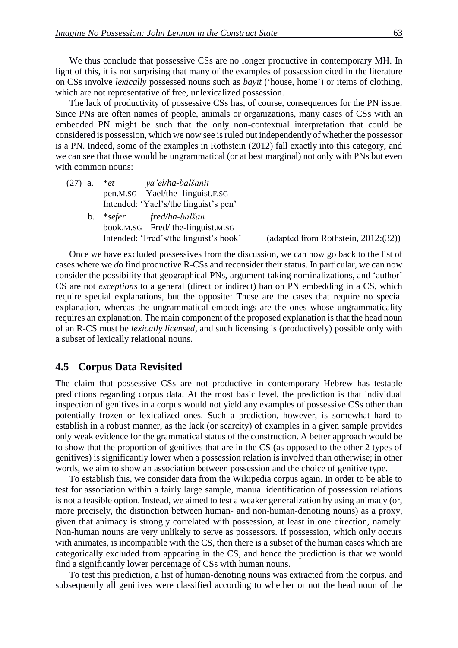We thus conclude that possessive CSs are no longer productive in contemporary MH. In light of this, it is not surprising that many of the examples of possession cited in the literature on CSs involve *lexically* possessed nouns such as *bayit* ('house, home') or items of clothing, which are not representative of free, unlexicalized possession.

The lack of productivity of possessive CSs has, of course, consequences for the PN issue: Since PNs are often names of people, animals or organizations, many cases of CSs with an embedded PN might be such that the only non-contextual interpretation that could be considered is possession, which we now see is ruled out independently of whether the possessor is a PN. Indeed, some of the examples in Rothstein (2012) fall exactly into this category, and we can see that those would be ungrammatical (or at best marginal) not only with PNs but even with common nouns:

| $(27)$ a. * <i>et</i> | ya'el/ha-balšanit                     |  |  |
|-----------------------|---------------------------------------|--|--|
|                       | pen.M.SG Yael/the-linguist.F.SG       |  |  |
|                       | Intended: 'Yael's/the linguist's pen' |  |  |
|                       |                                       |  |  |

b. \**sefer fred/ha-balšan* book.M.SG Fred/ the-linguist.M.SG Intended: 'Fred's/the linguist's book' (adapted from Rothstein, 2012:(32))

Once we have excluded possessives from the discussion, we can now go back to the list of cases where we *do* find productive R-CSs and reconsider their status. In particular, we can now consider the possibility that geographical PNs, argument-taking nominalizations, and 'author' CS are not *exceptions* to a general (direct or indirect) ban on PN embedding in a CS, which require special explanations, but the opposite: These are the cases that require no special explanation, whereas the ungrammatical embeddings are the ones whose ungrammaticality requires an explanation. The main component of the proposed explanation is that the head noun of an R-CS must be *lexically licensed*, and such licensing is (productively) possible only with a subset of lexically relational nouns.

#### **4.5xxCorpus Data Revisited**

The claim that possessive CSs are not productive in contemporary Hebrew has testable predictions regarding corpus data. At the most basic level, the prediction is that individual inspection of genitives in a corpus would not yield any examples of possessive CSs other than potentially frozen or lexicalized ones. Such a prediction, however, is somewhat hard to establish in a robust manner, as the lack (or scarcity) of examples in a given sample provides only weak evidence for the grammatical status of the construction. A better approach would be to show that the proportion of genitives that are in the CS (as opposed to the other 2 types of genitives) is significantly lower when a possession relation is involved than otherwise; in other words, we aim to show an association between possession and the choice of genitive type.

To establish this, we consider data from the Wikipedia corpus again. In order to be able to test for association within a fairly large sample, manual identification of possession relations is not a feasible option. Instead, we aimed to test a weaker generalization by using animacy (or, more precisely, the distinction between human- and non-human-denoting nouns) as a proxy, given that animacy is strongly correlated with possession, at least in one direction, namely: Non-human nouns are very unlikely to serve as possessors. If possession, which only occurs with animates, is incompatible with the CS, then there is a subset of the human cases which are categorically excluded from appearing in the CS, and hence the prediction is that we would find a significantly lower percentage of CSs with human nouns.

To test this prediction, a list of human-denoting nouns was extracted from the corpus, and subsequently all genitives were classified according to whether or not the head noun of the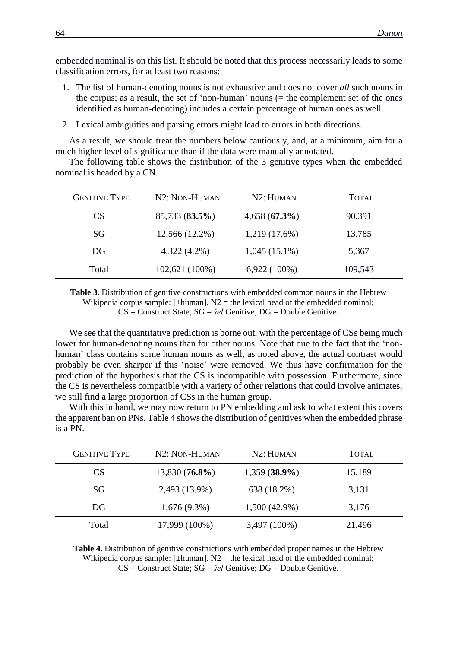embedded nominal is on this list. It should be noted that this process necessarily leads to some classification errors, for at least two reasons:

- 1. The list of human-denoting nouns is not exhaustive and does not cover *all* such nouns in the corpus; as a result, the set of 'non-human' nouns  $(=$  the complement set of the ones identified as human-denoting) includes a certain percentage of human ones as well.
- 2. Lexical ambiguities and parsing errors might lead to errors in both directions.

As a result, we should treat the numbers below cautiously, and, at a minimum, aim for a much higher level of significance than if the data were manually annotated.

The following table shows the distribution of the 3 genitive types when the embedded nominal is headed by a CN.

| <b>GENITIVE TYPE</b> | N2: NON-HUMAN  | N2: HUMAN       | <b>TOTAL</b> |
|----------------------|----------------|-----------------|--------------|
| CS                   | 85,733 (83.5%) | 4,658(67.3%)    | 90,391       |
| SG                   | 12,566 (12.2%) | 1,219 (17.6%)   | 13,785       |
| DG                   | $4,322(4.2\%)$ | $1,045(15.1\%)$ | 5,367        |
| Total                | 102,621 (100%) | $6,922(100\%)$  | 109,543      |

**Table 3.** Distribution of genitive constructions with embedded common nouns in the Hebrew Wikipedia corpus sample: [ $\pm$ human]. N2 = the lexical head of the embedded nominal; CS = Construct State; SG = *šel* Genitive; DG = Double Genitive.

We see that the quantitative prediction is borne out, with the percentage of CSs being much lower for human-denoting nouns than for other nouns. Note that due to the fact that the 'nonhuman' class contains some human nouns as well, as noted above, the actual contrast would probably be even sharper if this 'noise' were removed. We thus have confirmation for the prediction of the hypothesis that the CS is incompatible with possession. Furthermore, since the CS is nevertheless compatible with a variety of other relations that could involve animates, we still find a large proportion of CSs in the human group.

With this in hand, we may now return to PN embedding and ask to what extent this covers the apparent ban on PNs. Table 4 shows the distribution of genitives when the embedded phrase is a PN.

| <b>GENITIVE TYPE</b> | N2: NON-HUMAN    | N2: HUMAN       | <b>TOTAL</b> |
|----------------------|------------------|-----------------|--------------|
| CS                   | $13,830(76.8\%)$ | $1,359(38.9\%)$ | 15,189       |
| SG                   | 2,493 (13.9%)    | 638 (18.2%)     | 3,131        |
| DG                   | $1,676(9.3\%)$   | $1,500(42.9\%)$ | 3,176        |
| Total                | 17,999 (100%)    | 3,497 (100%)    | 21,496       |
|                      |                  |                 |              |

**Table 4.** Distribution of genitive constructions with embedded proper names in the Hebrew Wikipedia corpus sample:  $[\pm \text{human}]$ . N2 = the lexical head of the embedded nominal; CS = Construct State; SG = *šel* Genitive; DG = Double Genitive.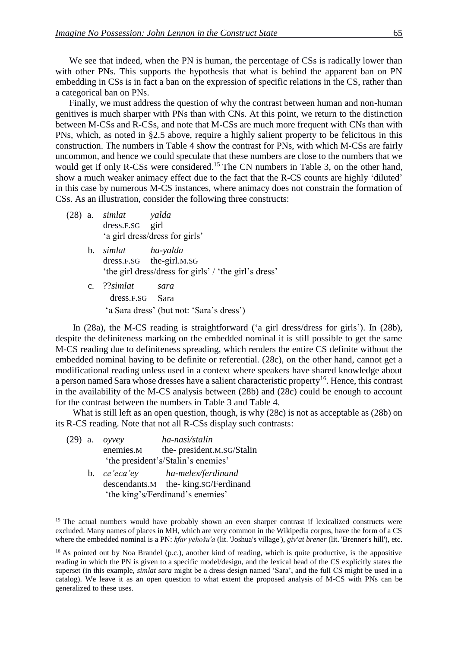We see that indeed, when the PN is human, the percentage of CSs is radically lower than with other PNs. This supports the hypothesis that what is behind the apparent ban on PN embedding in CSs is in fact a ban on the expression of specific relations in the CS, rather than a categorical ban on PNs.

Finally, we must address the question of why the contrast between human and non-human genitives is much sharper with PNs than with CNs. At this point, we return to the distinction between M-CSs and R-CSs, and note that M-CSs are much more frequent with CNs than with PNs, which, as noted in §2.5 above, require a highly salient property to be felicitous in this construction. The numbers in Table 4 show the contrast for PNs, with which M-CSs are fairly uncommon, and hence we could speculate that these numbers are close to the numbers that we would get if only R-CSs were considered.<sup>15</sup> The CN numbers in Table 3, on the other hand, show a much weaker animacy effect due to the fact that the R-CS counts are highly 'diluted' in this case by numerous M-CS instances, where animacy does not constrain the formation of CSs. As an illustration, consider the following three constructs:

- (28) a. *simlat yalda* dress.F.SG girl 'a girl dress/dress for girls'
	- b. *simlat ha-yalda* dress.F.SG the-girl.M.SG 'the girl dress/dress for girls' / 'the girl's dress'
	- c. ??*simlat sara* dress.F.SG Sara 'a Sara dress' (but not: 'Sara's dress')

In (28a), the M-CS reading is straightforward ('a girl dress/dress for girls'). In (28b), despite the definiteness marking on the embedded nominal it is still possible to get the same M-CS reading due to definiteness spreading, which renders the entire CS definite without the embedded nominal having to be definite or referential. (28c), on the other hand, cannot get a modificational reading unless used in a context where speakers have shared knowledge about a person named Sara whose dresses have a salient characteristic property<sup>16</sup>. Hence, this contrast in the availability of the M-CS analysis between (28b) and (28c) could be enough to account for the contrast between the numbers in Table 3 and Table 4.

What is still left as an open question, though, is why (28c) is not as acceptable as (28b) on its R-CS reading. Note that not all R-CSs display such contrasts:

- (29) a. *oyvey ha-nasi/stalin* enemies.M the- president.M.SG/Stalin 'the president's/Stalin's enemies'
	- b. *ce'eca'ey ha-melex/ferdinand* descendants.M the- king.SG/Ferdinand 'the king's/Ferdinand's enemies'

1

<sup>&</sup>lt;sup>15</sup> The actual numbers would have probably shown an even sharper contrast if lexicalized constructs were excluded. Many names of places in MH, which are very common in the Wikipedia corpus, have the form of a CS where the embedded nominal is a PN: *kfar yehošu'a* (lit. 'Joshua's village'), *giv'at brener* (lit. 'Brenner's hill'), etc.

<sup>&</sup>lt;sup>16</sup> As pointed out by Noa Brandel (p.c.), another kind of reading, which is quite productive, is the appositive reading in which the PN is given to a specific model/design, and the lexical head of the CS explicitly states the superset (in this example, *simlat sara* might be a dress design named 'Sara', and the full CS might be used in a catalog). We leave it as an open question to what extent the proposed analysis of M-CS with PNs can be generalized to these uses.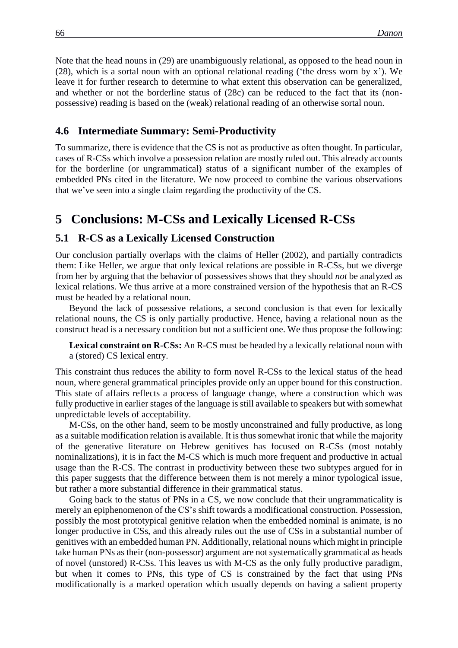Note that the head nouns in (29) are unambiguously relational, as opposed to the head noun in (28), which is a sortal noun with an optional relational reading ('the dress worn by x'). We leave it for further research to determine to what extent this observation can be generalized, and whether or not the borderline status of (28c) can be reduced to the fact that its (nonpossessive) reading is based on the (weak) relational reading of an otherwise sortal noun.

#### **4.6xxIntermediate Summary: Semi-Productivity**

To summarize, there is evidence that the CS is not as productive as often thought. In particular, cases of R-CSs which involve a possession relation are mostly ruled out. This already accounts for the borderline (or ungrammatical) status of a significant number of the examples of embedded PNs cited in the literature. We now proceed to combine the various observations that we've seen into a single claim regarding the productivity of the CS.

## **5xxConclusions: M-CSs and Lexically Licensed R-CSs**

#### **5.1 R-CS as a Lexically Licensed Construction**

Our conclusion partially overlaps with the claims of Heller (2002), and partially contradicts them: Like Heller, we argue that only lexical relations are possible in R-CSs, but we diverge from her by arguing that the behavior of possessives shows that they should *not* be analyzed as lexical relations. We thus arrive at a more constrained version of the hypothesis that an R-CS must be headed by a relational noun.

Beyond the lack of possessive relations, a second conclusion is that even for lexically relational nouns, the CS is only partially productive. Hence, having a relational noun as the construct head is a necessary condition but not a sufficient one. We thus propose the following:

**Lexical constraint on R-CSs:** An R-CS must be headed by a lexically relational noun with a (stored) CS lexical entry.

This constraint thus reduces the ability to form novel R-CSs to the lexical status of the head noun, where general grammatical principles provide only an upper bound for this construction. This state of affairs reflects a process of language change, where a construction which was fully productive in earlier stages of the language is still available to speakers but with somewhat unpredictable levels of acceptability.

M-CSs, on the other hand, seem to be mostly unconstrained and fully productive, as long as a suitable modification relation is available. It is thus somewhat ironic that while the majority of the generative literature on Hebrew genitives has focused on R-CSs (most notably nominalizations), it is in fact the M-CS which is much more frequent and productive in actual usage than the R-CS. The contrast in productivity between these two subtypes argued for in this paper suggests that the difference between them is not merely a minor typological issue, but rather a more substantial difference in their grammatical status.

Going back to the status of PNs in a CS, we now conclude that their ungrammaticality is merely an epiphenomenon of the CS's shift towards a modificational construction. Possession, possibly the most prototypical genitive relation when the embedded nominal is animate, is no longer productive in CSs, and this already rules out the use of CSs in a substantial number of genitives with an embedded human PN. Additionally, relational nouns which might in principle take human PNs as their (non-possessor) argument are not systematically grammatical as heads of novel (unstored) R-CSs. This leaves us with M-CS as the only fully productive paradigm, but when it comes to PNs, this type of CS is constrained by the fact that using PNs modificationally is a marked operation which usually depends on having a salient property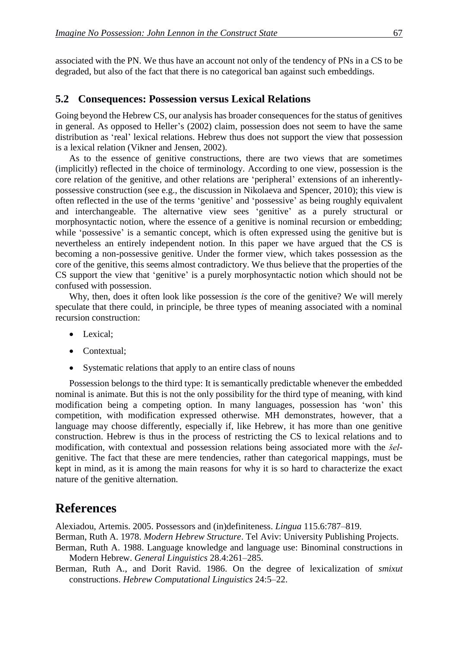associated with the PN. We thus have an account not only of the tendency of PNs in a CS to be degraded, but also of the fact that there is no categorical ban against such embeddings.

#### **5.2xxConsequences: Possession versus Lexical Relations**

Going beyond the Hebrew CS, our analysis has broader consequences for the status of genitives in general. As opposed to Heller's (2002) claim, possession does not seem to have the same distribution as 'real' lexical relations. Hebrew thus does not support the view that possession is a lexical relation (Vikner and Jensen, 2002).

As to the essence of genitive constructions, there are two views that are sometimes (implicitly) reflected in the choice of terminology. According to one view, possession is the core relation of the genitive, and other relations are 'peripheral' extensions of an inherentlypossessive construction (see e.g., the discussion in Nikolaeva and Spencer, 2010); this view is often reflected in the use of the terms 'genitive' and 'possessive' as being roughly equivalent and interchangeable. The alternative view sees 'genitive' as a purely structural or morphosyntactic notion, where the essence of a genitive is nominal recursion or embedding; while 'possessive' is a semantic concept, which is often expressed using the genitive but is nevertheless an entirely independent notion. In this paper we have argued that the CS is becoming a non-possessive genitive. Under the former view, which takes possession as the core of the genitive, this seems almost contradictory. We thus believe that the properties of the CS support the view that 'genitive' is a purely morphosyntactic notion which should not be confused with possession.

Why, then, does it often look like possession *is* the core of the genitive? We will merely speculate that there could, in principle, be three types of meaning associated with a nominal recursion construction:

- Lexical:
- Contextual:
- Systematic relations that apply to an entire class of nouns

Possession belongs to the third type: It is semantically predictable whenever the embedded nominal is animate. But this is not the only possibility for the third type of meaning, with kind modification being a competing option. In many languages, possession has 'won' this competition, with modification expressed otherwise. MH demonstrates, however, that a language may choose differently, especially if, like Hebrew, it has more than one genitive construction. Hebrew is thus in the process of restricting the CS to lexical relations and to modification, with contextual and possession relations being associated more with the *šel*genitive. The fact that these are mere tendencies, rather than categorical mappings, must be kept in mind, as it is among the main reasons for why it is so hard to characterize the exact nature of the genitive alternation.

### **References**

Alexiadou, Artemis. 2005. Possessors and (in)definiteness. *Lingua* 115.6:787–819.

Berman, Ruth A. 1978. *Modern Hebrew Structure*. Tel Aviv: University Publishing Projects.

Berman, Ruth A. 1988. Language knowledge and language use: Binominal constructions in Modern Hebrew. *General Linguistics* 28.4:261–285.

Berman, Ruth A., and Dorit Ravid. 1986. On the degree of lexicalization of *smixut* constructions. *Hebrew Computational Linguistics* 24:5–22.